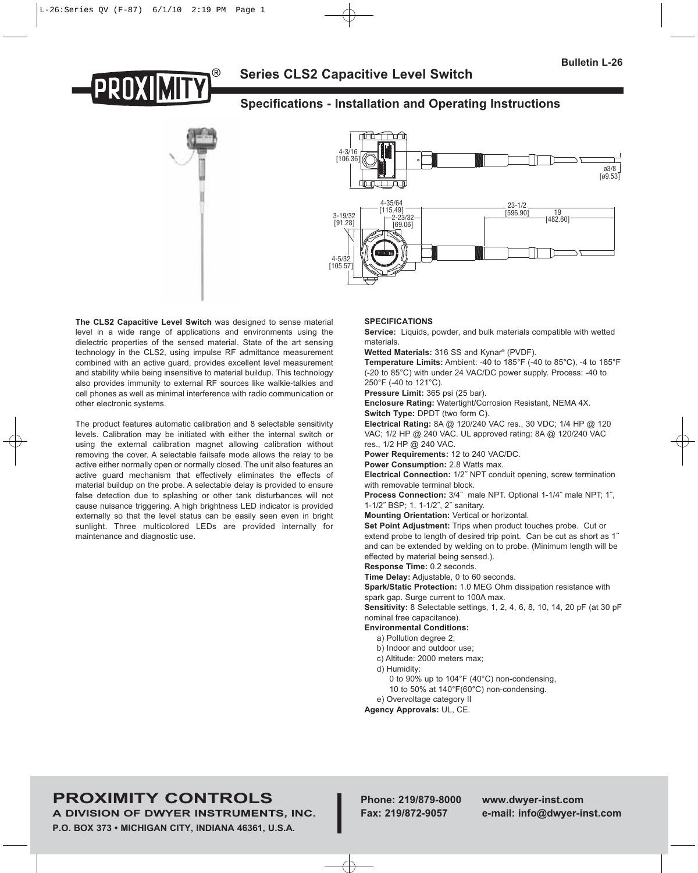

# **Specifications - Installation and Operating Instructions**





**The CLS2 Capacitive Level Switch** was designed to sense material level in a wide range of applications and environments using the dielectric properties of the sensed material. State of the art sensing technology in the CLS2, using impulse RF admittance measurement combined with an active guard, provides excellent level measurement and stability while being insensitive to material buildup. This technology also provides immunity to external RF sources like walkie-talkies and cell phones as well as minimal interference with radio communication or other electronic systems.

The product features automatic calibration and 8 selectable sensitivity levels. Calibration may be initiated with either the internal switch or using the external calibration magnet allowing calibration without removing the cover. A selectable failsafe mode allows the relay to be active either normally open or normally closed. The unit also features an active guard mechanism that effectively eliminates the effects of material buildup on the probe. A selectable delay is provided to ensure false detection due to splashing or other tank disturbances will not cause nuisance triggering. A high brightness LED indicator is provided externally so that the level status can be easily seen even in bright sunlight. Three multicolored LEDs are provided internally for maintenance and diagnostic use.

### **SPECIFICATIONS**

**Service:** Liquids, powder, and bulk materials compatible with wetted materials.

**Wetted Materials:** 316 SS and Kynar® (PVDF).

**Temperature Limits:** Ambient: -40 to 185°F (-40 to 85°C), -4 to 185°F (-20 to 85°C) with under 24 VAC/DC power supply. Process: -40 to 250°F (-40 to 121°C).

**Pressure Limit:** 365 psi (25 bar).

**Enclosure Rating:** Watertight/Corrosion Resistant, NEMA 4X. **Switch Type:** DPDT (two form C).

**Electrical Rating:** 8A @ 120/240 VAC res., 30 VDC; 1/4 HP @ 120 VAC; 1/2 HP @ 240 VAC. UL approved rating: 8A @ 120/240 VAC res., 1/2 HP @ 240 VAC.

**Power Requirements:** 12 to 240 VAC/DC.

**Power Consumption:** 2.8 Watts max.

**Electrical Connection:** 1/2˝ NPT conduit opening, screw termination with removable terminal block.

**Process Connection:** 3/4˝ male NPT. Optional 1-1/4˝ male NPT; 1˝, 1-1/2˝ BSP; 1, 1-1/2˝, 2˝ sanitary.

**Mounting Orientation:** Vertical or horizontal.

**Set Point Adjustment:** Trips when product touches probe. Cut or extend probe to length of desired trip point. Can be cut as short as 1˝ and can be extended by welding on to probe. (Minimum length will be effected by material being sensed.).

**Response Time:** 0.2 seconds.

**Time Delay:** Adjustable, 0 to 60 seconds.

**Spark/Static Protection:** 1.0 MEG Ohm dissipation resistance with spark gap. Surge current to 100A max.

**Sensitivity:** 8 Selectable settings, 1, 2, 4, 6, 8, 10, 14, 20 pF (at 30 pF nominal free capacitance).

**Environmental Conditions:**

- a) Pollution degree 2;
- b) Indoor and outdoor use;
- c) Altitude: 2000 meters max;
- d) Humidity:

0 to 90% up to 104°F (40°C) non-condensing,

10 to 50% at 140°F(60°C) non-condensing.

e) Overvoltage category II

**Agency Approvals:** UL, CE.

# **PROXIMITY CONTROLS Phone: 219/879-8000 www.dwyer-inst.com**

**A DIVISION OF DWYER INSTRUMENTS, INC. Fax: 219/872-9057 e-mail: info@dwyer-inst.com P.O. BOX 373 • MICHIGAN CITY, INDIANA 46361, U.S.A.**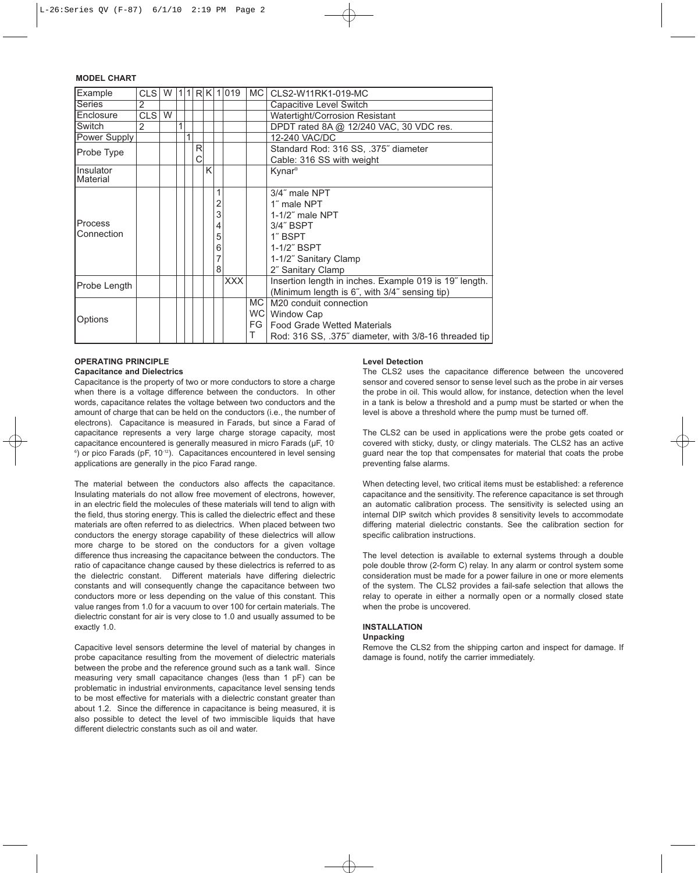# **MODEL CHART**

| Example               | CLS <sup>I</sup> | W |   | 1 | R | K |   | 019        | MC   | CLS2-W11RK1-019-MC                                     |  |
|-----------------------|------------------|---|---|---|---|---|---|------------|------|--------------------------------------------------------|--|
| <b>Series</b>         | 2                |   |   |   |   |   |   |            |      | Capacitive Level Switch                                |  |
| Enclosure             | CLS <sup>I</sup> | W |   |   |   |   |   |            |      | Watertight/Corrosion Resistant                         |  |
| Switch                | $\mathfrak{p}$   |   | 1 |   |   |   |   |            |      | DPDT rated 8A @ 12/240 VAC, 30 VDC res.                |  |
| Power Supply          |                  |   |   | 1 |   |   |   |            |      | 12-240 VAC/DC                                          |  |
| Probe Type            |                  |   |   |   | R |   |   |            |      | Standard Rod: 316 SS, .375" diameter                   |  |
|                       |                  |   |   |   | С |   |   |            |      | Cable: 316 SS with weight                              |  |
| Insulator<br>Material |                  |   |   |   |   | Κ |   |            |      | Kynar <sup>®</sup>                                     |  |
|                       |                  |   |   |   |   |   |   |            |      | 3/4" male NPT                                          |  |
|                       |                  |   |   |   |   |   | 2 |            |      | 1" male NPT                                            |  |
|                       |                  |   |   |   |   |   | 3 |            |      | $1-1/2$ " male NPT                                     |  |
| Process               |                  |   |   |   |   |   | 4 |            |      | 3/4" BSPT                                              |  |
| Connection            |                  |   |   |   |   |   | 5 |            |      | 1" BSPT                                                |  |
|                       |                  |   |   |   |   |   | 6 |            |      | 1-1/2" BSPT                                            |  |
|                       |                  |   |   |   |   |   |   |            |      | 1-1/2" Sanitary Clamp                                  |  |
|                       |                  |   |   |   |   |   | 8 |            |      | 2" Sanitary Clamp                                      |  |
|                       |                  |   |   |   |   |   |   | <b>XXX</b> |      | Insertion length in inches. Example 019 is 19" length. |  |
| Probe Length          |                  |   |   |   |   |   |   |            |      | (Minimum length is 6", with 3/4" sensing tip)          |  |
|                       |                  |   |   |   |   |   |   |            | MC.  | M20 conduit connection                                 |  |
|                       |                  |   |   |   |   |   |   |            | WC I | Window Cap                                             |  |
| Options               |                  |   |   |   |   |   |   |            | FG.  | <b>Food Grade Wetted Materials</b>                     |  |
|                       |                  |   |   |   |   |   |   |            | т    | Rod: 316 SS, .375" diameter, with 3/8-16 threaded tip  |  |

### **OPERATING PRINCIPLE**

#### **Capacitance and Dielectrics**

Capacitance is the property of two or more conductors to store a charge when there is a voltage difference between the conductors. In other words, capacitance relates the voltage between two conductors and the amount of charge that can be held on the conductors (i.e., the number of electrons). Capacitance is measured in Farads, but since a Farad of capacitance represents a very large charge storage capacity, most capacitance encountered is generally measured in micro Farads (uF, 10-<sup>6</sup>) or pico Farads (pF, 10<sup>-12</sup>). Capacitances encountered in level sensing applications are generally in the pico Farad range.

The material between the conductors also affects the capacitance. Insulating materials do not allow free movement of electrons, however, in an electric field the molecules of these materials will tend to align with the field, thus storing energy. This is called the dielectric effect and these materials are often referred to as dielectrics. When placed between two conductors the energy storage capability of these dielectrics will allow more charge to be stored on the conductors for a given voltage difference thus increasing the capacitance between the conductors. The ratio of capacitance change caused by these dielectrics is referred to as the dielectric constant. Different materials have differing dielectric constants and will consequently change the capacitance between two conductors more or less depending on the value of this constant. This value ranges from 1.0 for a vacuum to over 100 for certain materials. The dielectric constant for air is very close to 1.0 and usually assumed to be exactly 1.0.

Capacitive level sensors determine the level of material by changes in probe capacitance resulting from the movement of dielectric materials between the probe and the reference ground such as a tank wall. Since measuring very small capacitance changes (less than 1 pF) can be problematic in industrial environments, capacitance level sensing tends to be most effective for materials with a dielectric constant greater than about 1.2. Since the difference in capacitance is being measured, it is also possible to detect the level of two immiscible liquids that have different dielectric constants such as oil and water.

#### **Level Detection**

The CLS2 uses the capacitance difference between the uncovered sensor and covered sensor to sense level such as the probe in air verses the probe in oil. This would allow, for instance, detection when the level in a tank is below a threshold and a pump must be started or when the level is above a threshold where the pump must be turned off.

The CLS2 can be used in applications were the probe gets coated or covered with sticky, dusty, or clingy materials. The CLS2 has an active guard near the top that compensates for material that coats the probe preventing false alarms.

When detecting level, two critical items must be established: a reference capacitance and the sensitivity. The reference capacitance is set through an automatic calibration process. The sensitivity is selected using an internal DIP switch which provides 8 sensitivity levels to accommodate differing material dielectric constants. See the calibration section for specific calibration instructions.

The level detection is available to external systems through a double pole double throw (2-form C) relay. In any alarm or control system some consideration must be made for a power failure in one or more elements of the system. The CLS2 provides a fail-safe selection that allows the relay to operate in either a normally open or a normally closed state when the probe is uncovered.

# **INSTALLATION**

#### **Unpacking**

Remove the CLS2 from the shipping carton and inspect for damage. If damage is found, notify the carrier immediately.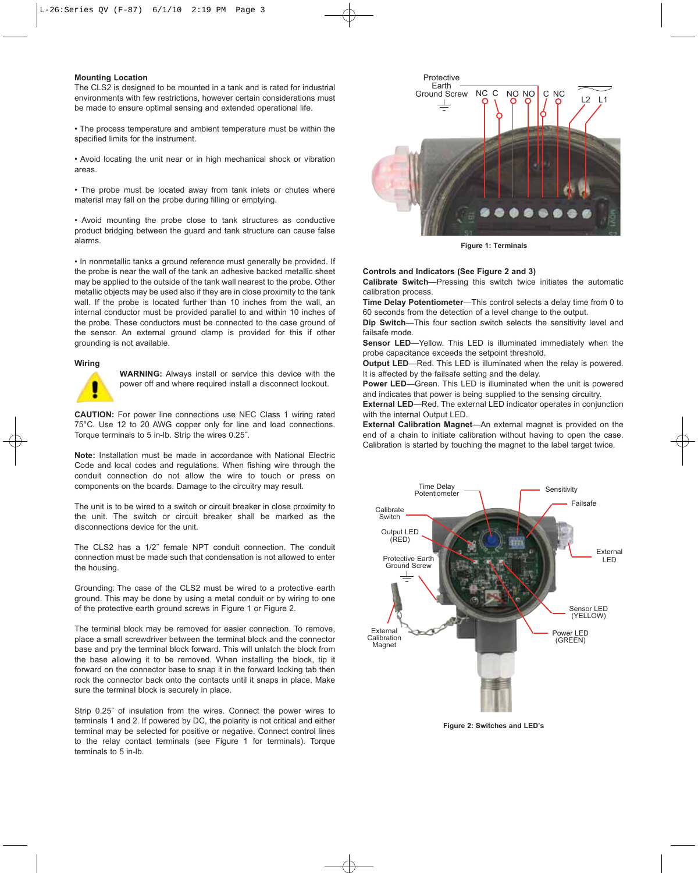#### **Mounting Location**

The CLS2 is designed to be mounted in a tank and is rated for industrial environments with few restrictions, however certain considerations must be made to ensure optimal sensing and extended operational life.

• The process temperature and ambient temperature must be within the specified limits for the instrument.

• Avoid locating the unit near or in high mechanical shock or vibration areas.

• The probe must be located away from tank inlets or chutes where material may fall on the probe during filling or emptying.

• Avoid mounting the probe close to tank structures as conductive product bridging between the guard and tank structure can cause false alarms.

• In nonmetallic tanks a ground reference must generally be provided. If the probe is near the wall of the tank an adhesive backed metallic sheet may be applied to the outside of the tank wall nearest to the probe. Other metallic objects may be used also if they are in close proximity to the tank wall. If the probe is located further than 10 inches from the wall, an internal conductor must be provided parallel to and within 10 inches of the probe. These conductors must be connected to the case ground of the sensor. An external ground clamp is provided for this if other grounding is not available.

#### **Wiring**



**WARNING:** Always install or service this device with the power off and where required install a disconnect lockout.

**CAUTION:** For power line connections use NEC Class 1 wiring rated 75°C. Use 12 to 20 AWG copper only for line and load connections. Torque terminals to 5 in-lb. Strip the wires 0.25˝.

**Note:** Installation must be made in accordance with National Electric Code and local codes and regulations. When fishing wire through the conduit connection do not allow the wire to touch or press on components on the boards. Damage to the circuitry may result.

The unit is to be wired to a switch or circuit breaker in close proximity to the unit. The switch or circuit breaker shall be marked as the disconnections device for the unit.

The CLS2 has a 1/2˝ female NPT conduit connection. The conduit connection must be made such that condensation is not allowed to enter the housing.

Grounding: The case of the CLS2 must be wired to a protective earth ground. This may be done by using a metal conduit or by wiring to one of the protective earth ground screws in Figure 1 or Figure 2.

The terminal block may be removed for easier connection. To remove, place a small screwdriver between the terminal block and the connector base and pry the terminal block forward. This will unlatch the block from the base allowing it to be removed. When installing the block, tip it forward on the connector base to snap it in the forward locking tab then rock the connector back onto the contacts until it snaps in place. Make sure the terminal block is securely in place.

Strip 0.25˝ of insulation from the wires. Connect the power wires to terminals 1 and 2. If powered by DC, the polarity is not critical and either terminal may be selected for positive or negative. Connect control lines to the relay contact terminals (see Figure 1 for terminals). Torque terminals to 5 in-lb.



**Figure 1: Terminals**

#### **Controls and Indicators (See Figure 2 and 3)**

**Calibrate Switch**—Pressing this switch twice initiates the automatic calibration process.

**Time Delay Potentiometer**—This control selects a delay time from 0 to 60 seconds from the detection of a level change to the output.

**Dip Switch**—This four section switch selects the sensitivity level and failsafe mode.

**Sensor LED**—Yellow. This LED is illuminated immediately when the probe capacitance exceeds the setpoint threshold.

**Output LED**—Red. This LED is illuminated when the relay is powered. It is affected by the failsafe setting and the delay.

**Power LED**—Green. This LED is illuminated when the unit is powered and indicates that power is being supplied to the sensing circuitry.

**External LED**—Red. The external LED indicator operates in conjunction with the internal Output LED.

**External Calibration Magnet**—An external magnet is provided on the end of a chain to initiate calibration without having to open the case. Calibration is started by touching the magnet to the label target twice.



**Figure 2: Switches and LED's**